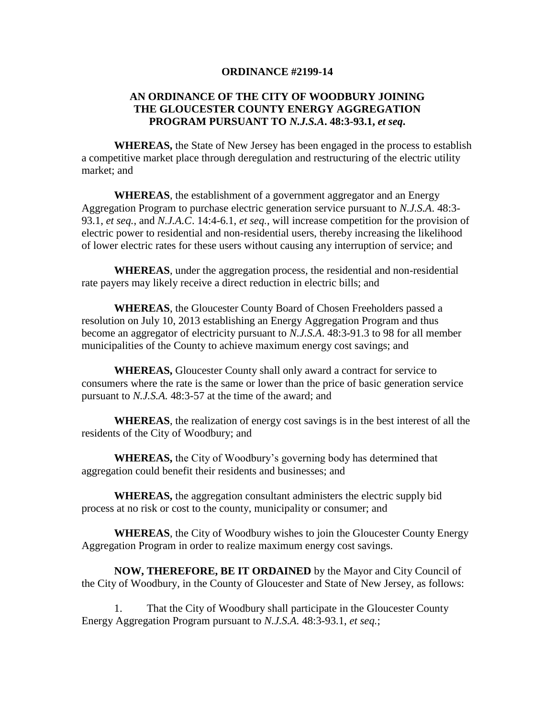## **ORDINANCE #2199-14**

## **AN ORDINANCE OF THE CITY OF WOODBURY JOINING THE GLOUCESTER COUNTY ENERGY AGGREGATION PROGRAM PURSUANT TO** *N.J.S.A***. 48:3-93.1,** *et seq***.**

**WHEREAS,** the State of New Jersey has been engaged in the process to establish a competitive market place through deregulation and restructuring of the electric utility market; and

**WHEREAS**, the establishment of a government aggregator and an Energy Aggregation Program to purchase electric generation service pursuant to *N.J.S.A*. 48:3- 93.1, *et seq.*, and *N.J.A.C*. 14:4-6.1, *et seq.*, will increase competition for the provision of electric power to residential and non-residential users, thereby increasing the likelihood of lower electric rates for these users without causing any interruption of service; and

**WHEREAS**, under the aggregation process, the residential and non-residential rate payers may likely receive a direct reduction in electric bills; and

**WHEREAS**, the Gloucester County Board of Chosen Freeholders passed a resolution on July 10, 2013 establishing an Energy Aggregation Program and thus become an aggregator of electricity pursuant to *N.J.S.A*. 48:3-91.3 to 98 for all member municipalities of the County to achieve maximum energy cost savings; and

**WHEREAS,** Gloucester County shall only award a contract for service to consumers where the rate is the same or lower than the price of basic generation service pursuant to *N.J.S.A.* 48:3-57 at the time of the award; and

**WHEREAS**, the realization of energy cost savings is in the best interest of all the residents of the City of Woodbury; and

**WHEREAS,** the City of Woodbury's governing body has determined that aggregation could benefit their residents and businesses; and

**WHEREAS,** the aggregation consultant administers the electric supply bid process at no risk or cost to the county, municipality or consumer; and

**WHEREAS**, the City of Woodbury wishes to join the Gloucester County Energy Aggregation Program in order to realize maximum energy cost savings.

**NOW, THEREFORE, BE IT ORDAINED** by the Mayor and City Council of the City of Woodbury, in the County of Gloucester and State of New Jersey, as follows:

1. That the City of Woodbury shall participate in the Gloucester County Energy Aggregation Program pursuant to *N.J.S.A.* 48:3-93.1, *et seq.*;